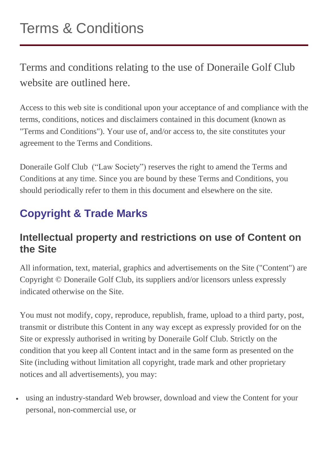Terms and conditions relating to the use of Doneraile Golf Club website are outlined here.

Access to this web site is conditional upon your acceptance of and compliance with the terms, conditions, notices and disclaimers contained in this document (known as "Terms and Conditions"). Your use of, and/or access to, the site constitutes your agreement to the Terms and Conditions.

Doneraile Golf Club ("Law Society") reserves the right to amend the Terms and Conditions at any time. Since you are bound by these Terms and Conditions, you should periodically refer to them in this document and elsewhere on the site.

## **Copyright & Trade Marks**

#### **Intellectual property and restrictions on use of Content on the Site**

All information, text, material, graphics and advertisements on the Site ("Content") are Copyright © Doneraile Golf Club, its suppliers and/or licensors unless expressly indicated otherwise on the Site.

You must not modify, copy, reproduce, republish, frame, upload to a third party, post, transmit or distribute this Content in any way except as expressly provided for on the Site or expressly authorised in writing by Doneraile Golf Club. Strictly on the condition that you keep all Content intact and in the same form as presented on the Site (including without limitation all copyright, trade mark and other proprietary notices and all advertisements), you may:

 using an industry-standard Web browser, download and view the Content for your personal, non-commercial use, or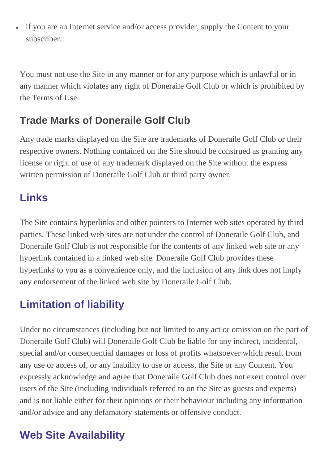if you are an Internet service and/or access provider, supply the Content to your subscriber.

You must not use the Site in any manner or for any purpose which is unlawful or in any manner which violates any right of Doneraile Golf Club or which is prohibited by the Terms of Use.

#### **Trade Marks of Doneraile Golf Club**

Any trade marks displayed on the Site are trademarks of Doneraile Golf Club or their respective owners. Nothing contained on the Site should be construed as granting any license or right of use of any trademark displayed on the Site without the express written permission of Doneraile Golf Club or third party owner.

#### **Links**

The Site contains hyperlinks and other pointers to Internet web sites operated by third parties. These linked web sites are not under the control of Doneraile Golf Club, and Doneraile Golf Club is not responsible for the contents of any linked web site or any hyperlink contained in a linked web site. Doneraile Golf Club provides these hyperlinks to you as a convenience only, and the inclusion of any link does not imply any endorsement of the linked web site by Doneraile Golf Club.

## **Limitation of liability**

Under no circumstances (including but not limited to any act or omission on the part of Doneraile Golf Club) will Doneraile Golf Club be liable for any indirect, incidental, special and/or consequential damages or loss of profits whatsoever which result from any use or access of, or any inability to use or access, the Site or any Content. You expressly acknowledge and agree that Doneraile Golf Club does not exert control over users of the Site (including individuals referred to on the Site as guests and experts) and is not liable either for their opinions or their behaviour including any information and/or advice and any defamatory statements or offensive conduct.

## **Web Site Availability**